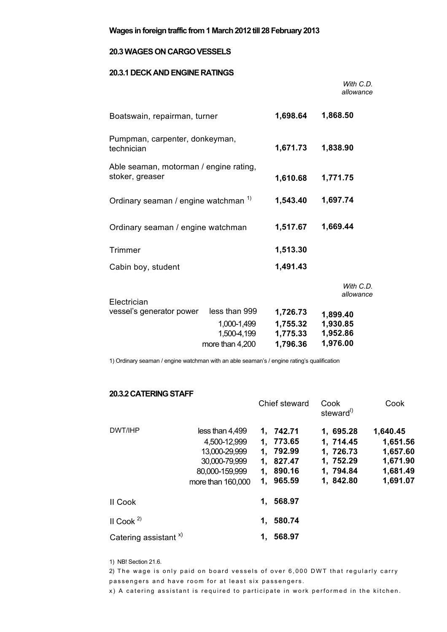## **20.3 WAGES ON CARGO VESSELS**

## **20.3.1 DECK AND ENGINE RATINGS**

|                                                           |                                                                |                                              | With C.D.<br>allowance                       |
|-----------------------------------------------------------|----------------------------------------------------------------|----------------------------------------------|----------------------------------------------|
| Boatswain, repairman, turner                              | 1,698.64                                                       | 1,868.50                                     |                                              |
| Pumpman, carpenter, donkeyman,<br>technician              | 1,671.73                                                       | 1,838.90                                     |                                              |
| Able seaman, motorman / engine rating,<br>stoker, greaser | 1,610.68                                                       | 1,771.75                                     |                                              |
| Ordinary seaman / engine watchman 1)                      | 1,543.40                                                       | 1,697.74                                     |                                              |
| Ordinary seaman / engine watchman                         |                                                                | 1,517.67                                     | 1,669.44                                     |
| Trimmer                                                   |                                                                | 1,513.30                                     |                                              |
| Cabin boy, student                                        |                                                                | 1,491.43                                     |                                              |
| Electrician                                               |                                                                |                                              | With $C.D.$<br>allowance                     |
| vessel's generator power                                  | less than 999<br>1,000-1,499<br>1,500-4,199<br>more than 4,200 | 1,726.73<br>1,755.32<br>1,775.33<br>1,796.36 | 1,899.40<br>1,930.85<br>1,952.86<br>1,976.00 |

1) Ordinary seaman / engine watchman with an able seaman's / engine rating's qualification

## **20.3.2 CATERING STAFF**

|                                  |                                                                                                          |          | Chief steward                                                        | Cook<br>steward <sup>1</sup>                                               | Cook                                                                 |  |
|----------------------------------|----------------------------------------------------------------------------------------------------------|----------|----------------------------------------------------------------------|----------------------------------------------------------------------------|----------------------------------------------------------------------|--|
| DWT/IHP                          | less than 4,499<br>4,500-12,999<br>13,000-29,999<br>30,000-79,999<br>80,000-159,999<br>more than 160,000 | 1.<br>1. | 1, 742.71<br>773.65<br>792.99<br>1, 827.47<br>1, 890.16<br>1, 965.59 | 1, 695.28<br>1, 714.45<br>1, 726.73<br>1, 752.29<br>1, 794.84<br>1, 842.80 | 1,640.45<br>1,651.56<br>1,657.60<br>1,671.90<br>1,681.49<br>1,691.07 |  |
| II Cook                          |                                                                                                          | 1.       | 568.97                                                               |                                                                            |                                                                      |  |
| II Cook <sup>2)</sup>            |                                                                                                          | 1.       | 580.74                                                               |                                                                            |                                                                      |  |
| Catering assistant <sup>x)</sup> |                                                                                                          | 1.       | 568.97                                                               |                                                                            |                                                                      |  |

1) NB! Section 21.6.

2) The wage is only paid on board vessels of over 6,000 DWT that regularly carry passengers and have room for at least six passengers.

x) A catering assistant is required to participate in work performed in the kitchen.